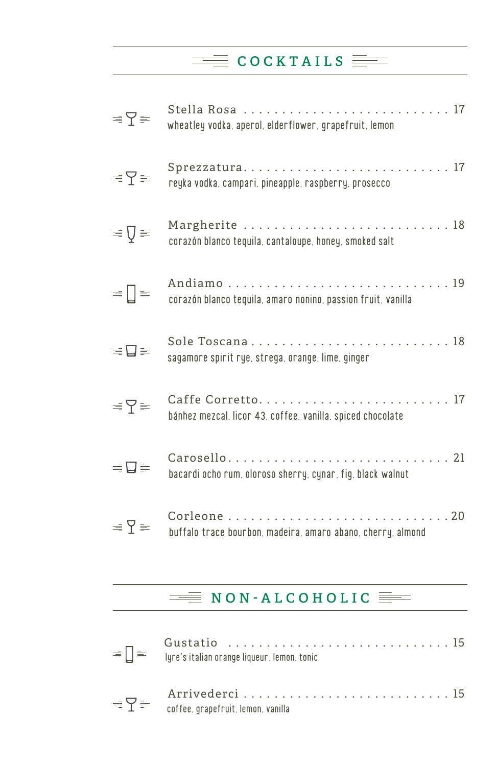### $\equiv$  COCKTAILS  $\equiv$

| $\equiv \nabla \equiv$ | Stella Rosa  17<br>wheatley vodka, aperol, elderflower, grapefruit, lemon  |
|------------------------|----------------------------------------------------------------------------|
| $\equiv \sum \equiv$   | Sprezzatura17<br>reyka vodka, campari, pineapple, raspberry, prosecco      |
| $\equiv \nabla \equiv$ | corazón blanco tequila, cantaloupe, honey, smoked salt                     |
| ≡ [] ≡                 | corazón blanco tequila, amaro nonino, passion fruit, vanilla               |
| $\equiv \Box \equiv$   | sagamore spirit rye, strega, orange, lime, ginger                          |
| $\equiv \nabla \equiv$ | bánhez mezcal, licor 43, coffee, vanilla, spiced chocolate                 |
| $=\Box$                | Carosello 21<br>bacardi ocho rum, oloroso sherry, cynar, fig, black walnut |
| $\equiv \sum \equiv$   | buffalo trace bourbon, madeira, amaro abano, cherry, almond                |
|                        |                                                                            |

### $\equiv$  NON-ALCOHOLIC  $\equiv$

| $\equiv \nabla \equiv \frac{A \ln \nu \sec \theta}{\text{coffee, grapefruit, lemon, vanilla}}$ |  |
|------------------------------------------------------------------------------------------------|--|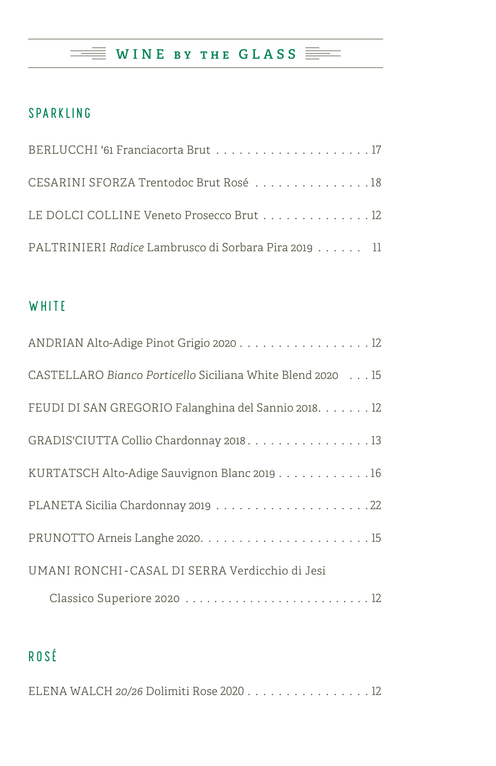### WINE BY THE GLASS  $\equiv$

#### SPARKLING

| CESARINI SFORZA Trentodoc Brut Rosé 18                |
|-------------------------------------------------------|
| LE DOLCI COLLINE Veneto Prosecco Brut 12              |
| PALTRINIERI Radice Lambrusco di Sorbara Pira 2019  11 |

#### **WHITE**

| CASTELLARO Bianco Porticello Siciliana White Blend 2020 15 |
|------------------------------------------------------------|
| FEUDI DI SAN GREGORIO Falanghina del Sannio 2018. 12       |
| GRADIS'CIUTTA Collio Chardonnay 2018. 13                   |
| KURTATSCH Alto-Adige Sauvignon Blanc 2019 16               |
|                                                            |
|                                                            |
| UMANI RONCHI-CASAL DI SERRA Verdicchio di Jesi             |
|                                                            |

### ROSÉ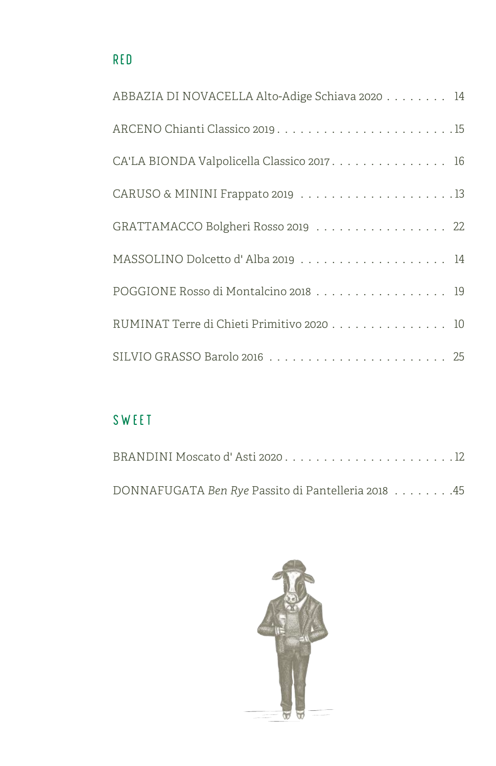| ABBAZIA DI NOVACELLA Alto-Adige Schiava 2020 14 |
|-------------------------------------------------|
|                                                 |
| CA'LA BIONDA Valpolicella Classico 2017. 16     |
|                                                 |
| GRATTAMACCO Bolgheri Rosso 2019 22              |
| MASSOLINO Dolcetto d'Alba 2019  14              |
| POGGIONE Rosso di Montalcino 2018 19            |
| RUMINAT Terre di Chieti Primitivo 2020 10       |
|                                                 |

### SWEET

| DONNAFUGATA Ben Rye Passito di Pantelleria 2018 45 |  |  |
|----------------------------------------------------|--|--|

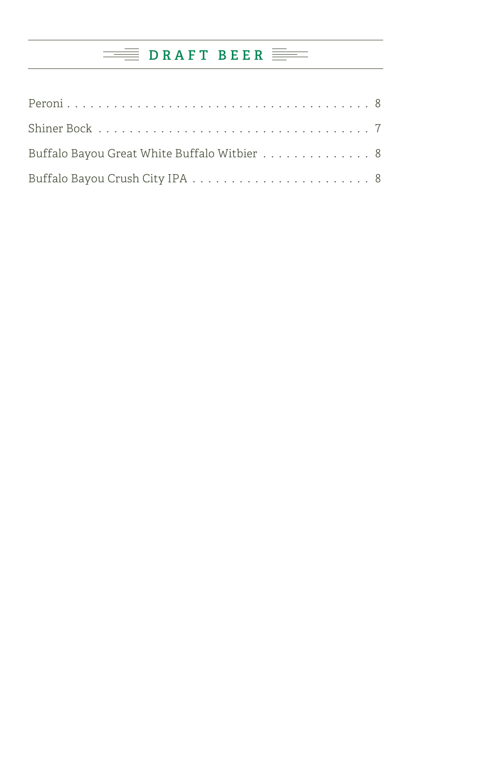## **DRAFT BEER**

| Buffalo Bayou Great White Buffalo Witbier 8 |  |
|---------------------------------------------|--|
|                                             |  |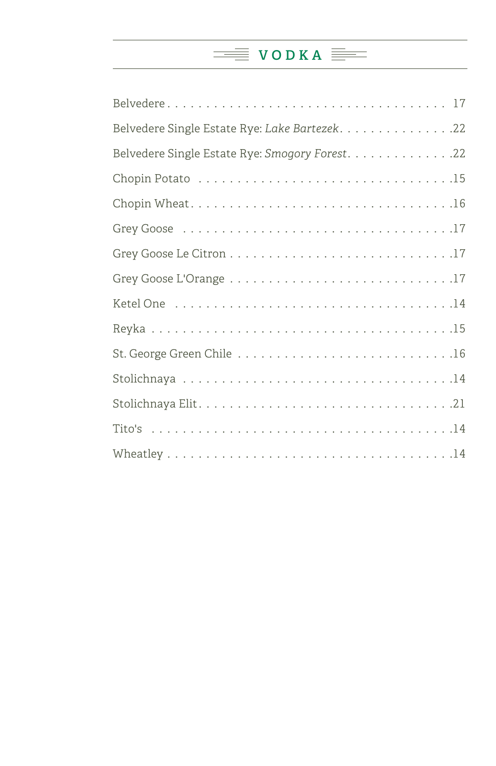### $\equiv$  **VODKA**

| Belvedere Single Estate Rye: Lake Bartezek. 22  |
|-------------------------------------------------|
| Belvedere Single Estate Rye: Smogory Forest. 22 |
|                                                 |
|                                                 |
|                                                 |
|                                                 |
|                                                 |
|                                                 |
|                                                 |
|                                                 |
|                                                 |
|                                                 |
|                                                 |
|                                                 |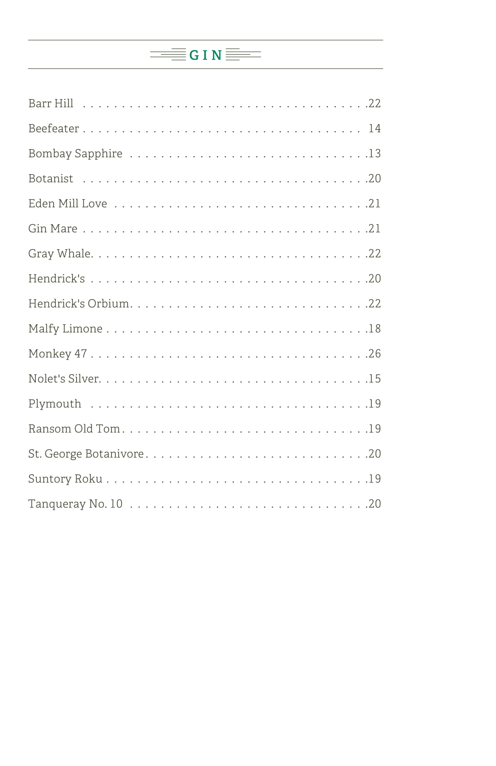# $\equiv$  G I N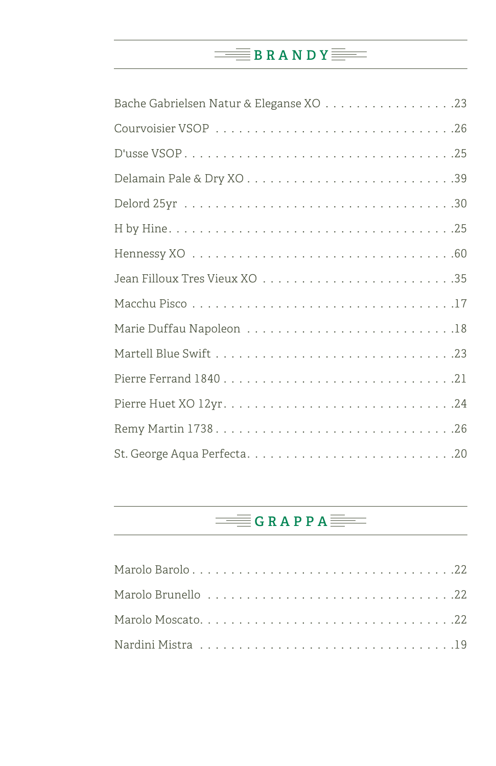## $\equiv$ **BRANDY**

# $\equiv$ GRAPPA $\equiv$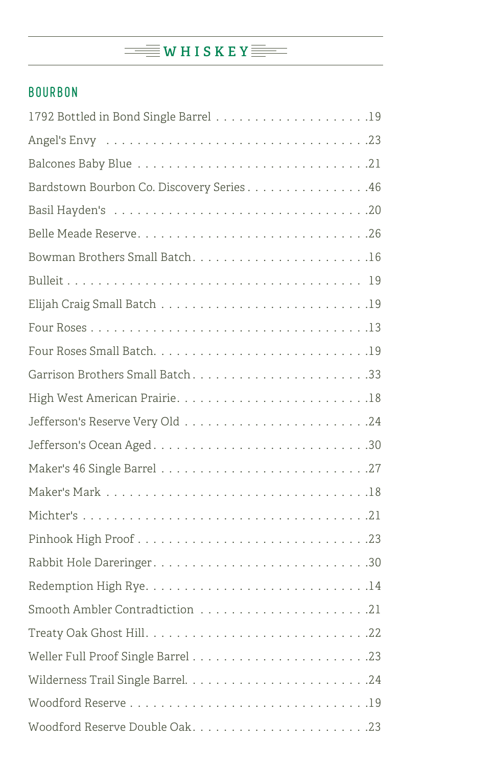# WHISKEY

#### BOURBON

| Bardstown Bourbon Co. Discovery Series46 |
|------------------------------------------|
|                                          |
|                                          |
|                                          |
|                                          |
|                                          |
|                                          |
|                                          |
| Garrison Brothers Small Batch33          |
|                                          |
|                                          |
| Jefferson's Ocean Aged30                 |
|                                          |
|                                          |
|                                          |
|                                          |
|                                          |
|                                          |
|                                          |
|                                          |
|                                          |
|                                          |
|                                          |
|                                          |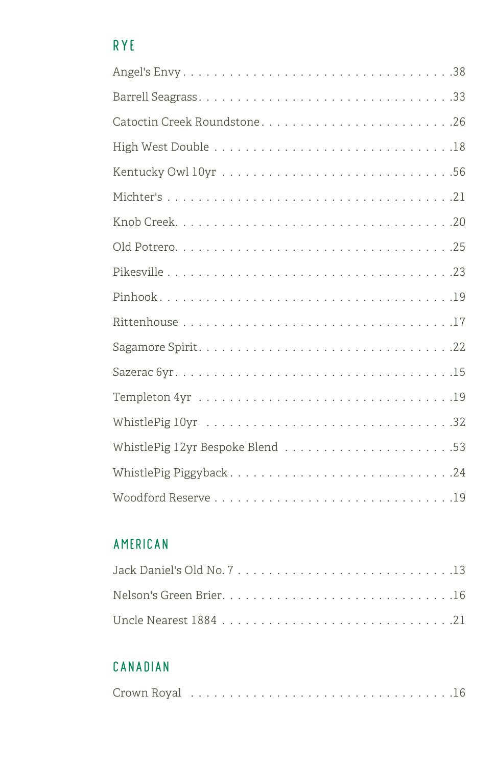### RYE

#### AMERICAN

#### CANADIAN

|--|--|--|--|--|--|--|--|--|--|--|--|--|--|--|--|--|--|--|--|--|--|--|--|--|--|--|--|--|--|--|--|--|--|--|--|--|--|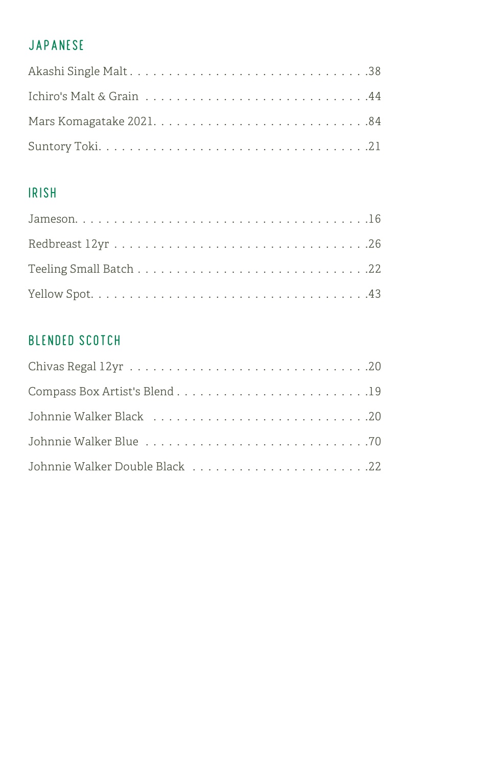#### JAPANESE

| Akashi Single Malt38 |  |
|----------------------|--|
|                      |  |
|                      |  |
|                      |  |

#### IRISH

#### BLENDED SCOTCH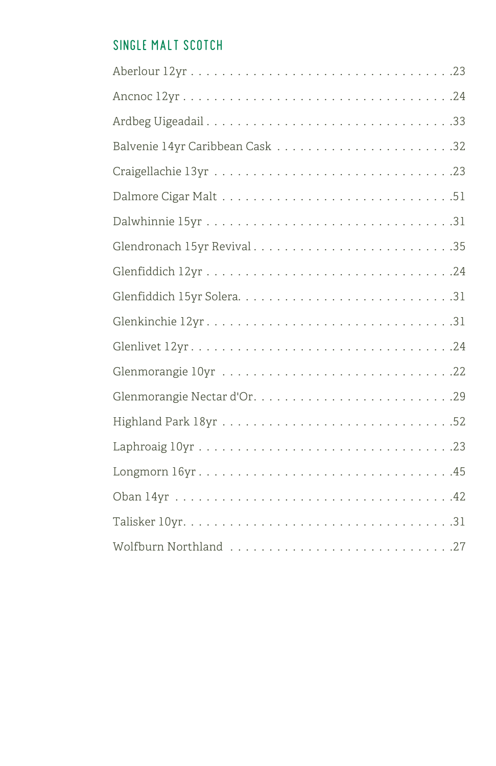#### SINGLE MALT SCOTCH

| Glenkinchie 12yr31    |
|-----------------------|
|                       |
|                       |
|                       |
|                       |
|                       |
|                       |
|                       |
|                       |
| Wolfburn Northland 27 |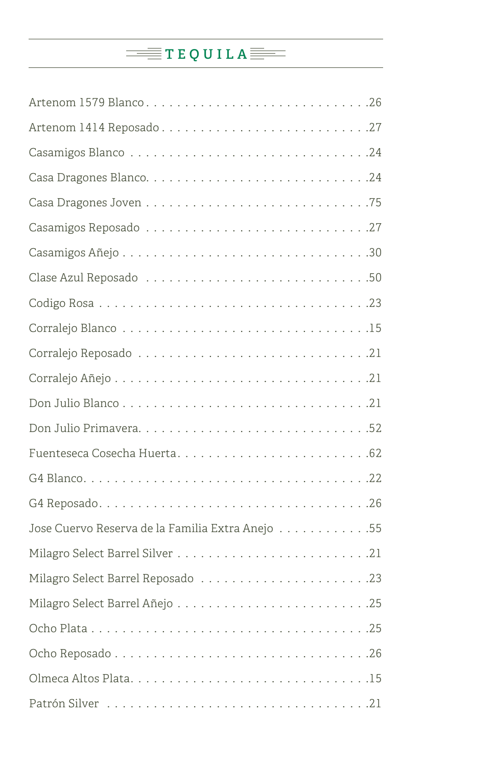# TEQUILA<sup>T</sup>

| Artenom 1579 Blanco26                            |
|--------------------------------------------------|
|                                                  |
|                                                  |
|                                                  |
|                                                  |
|                                                  |
|                                                  |
|                                                  |
|                                                  |
|                                                  |
|                                                  |
|                                                  |
|                                                  |
|                                                  |
|                                                  |
|                                                  |
|                                                  |
| Jose Cuervo Reserva de la Familia Extra Anejo 55 |
|                                                  |
|                                                  |
|                                                  |
|                                                  |
|                                                  |
|                                                  |
|                                                  |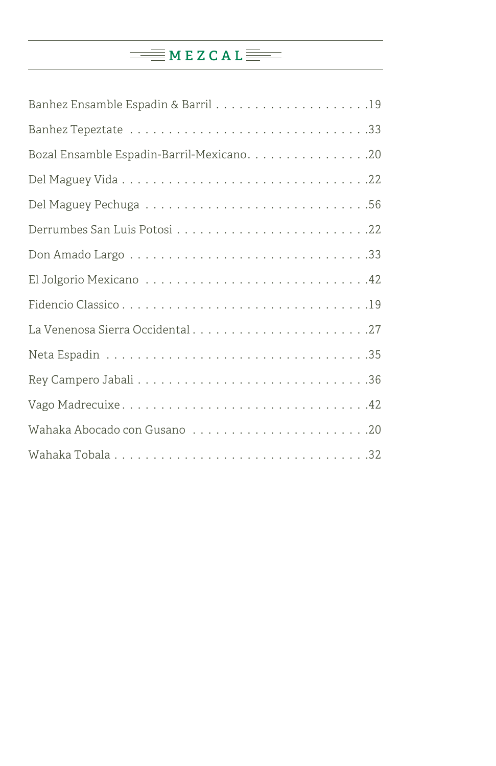# MEZCAL<sup>E</sup>

| Bozal Ensamble Espadin-Barril-Mexicano. 20 |
|--------------------------------------------|
|                                            |
|                                            |
|                                            |
|                                            |
|                                            |
|                                            |
| La Venenosa Sierra Occidental27            |
|                                            |
|                                            |
|                                            |
|                                            |
|                                            |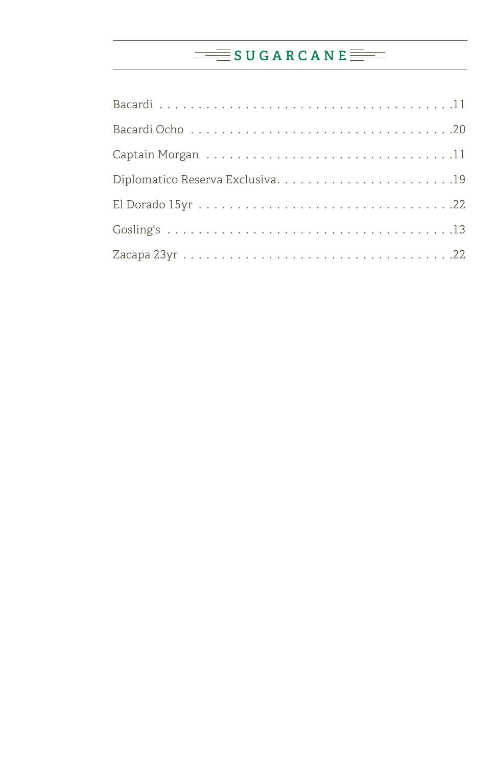### SUGARCANE<sup></sup>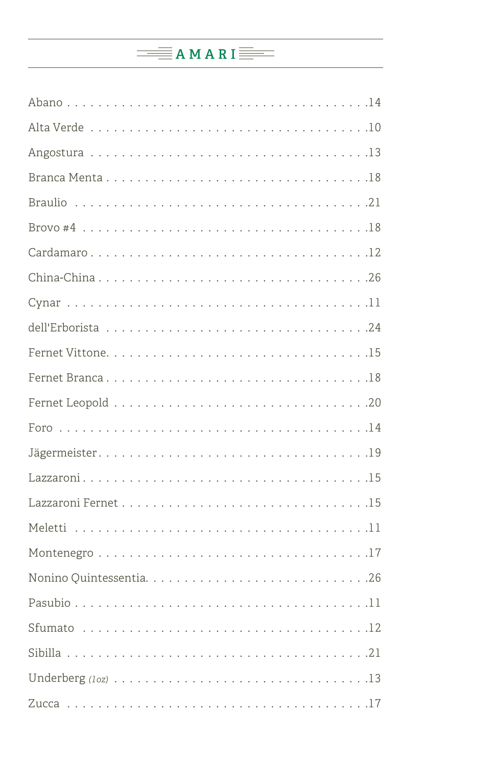## $\equiv$  AMARI $\equiv$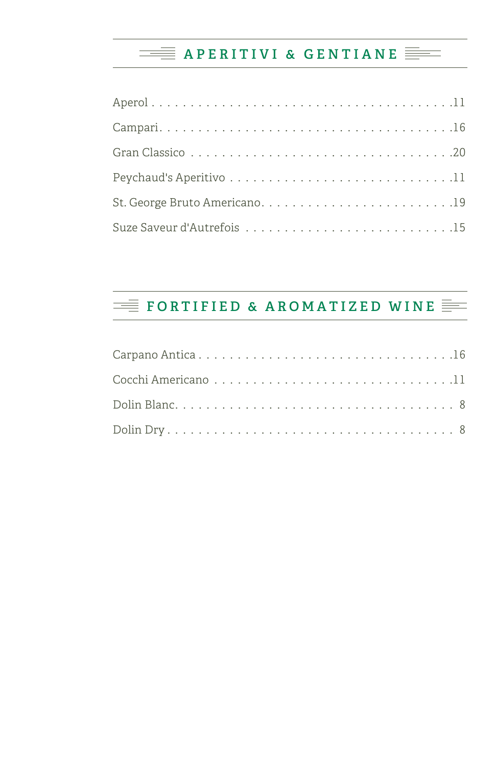### **APERITIVI & GENTIANE**

## **FORTIFIED & AROMATIZED WINE**